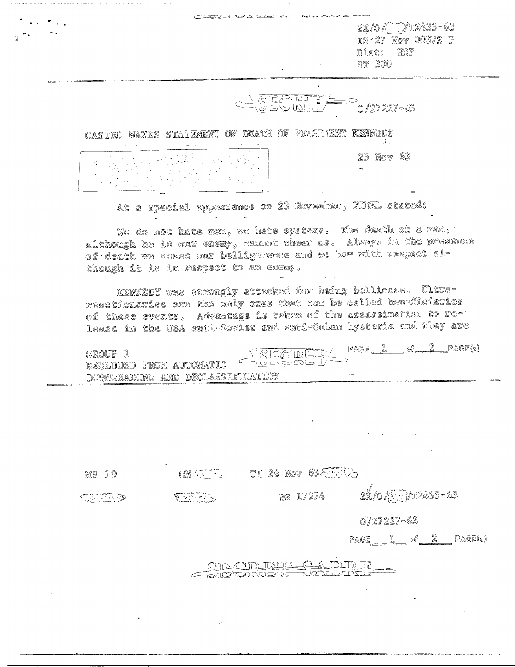|                       |        |  | a was a katika wa |                                                                    |
|-----------------------|--------|--|-------------------|--------------------------------------------------------------------|
| $^{\circ}$ $^{\circ}$ | $\sim$ |  |                   | $2x/0$ / $7x2433 - 63$<br>IS 27 Nov 0037Z P<br>Dist: NCF<br>ST 300 |
|                       |        |  | كالمحتصم          | -63                                                                |

CASTRO MAKES STATEMENT ON DEATH OF PRESIDENT KENNEDY 25 Nov 63  $\Rightarrow$ 

At a special appearance on 23 November, FIDEL stated:

We do not hate men, we hate systems. The death of a men,  $\cdot$ although he is our energy cannot cheer us. Always in the presence of death we cease our belligerence and we bow with respect although it is in respect to an enexy.

KENNEDY was strongly attacked for being bellicose. Ultrareactionaries are the only ones that can be called beneficiaries of these events, Advantage is taken of the assassination to release in the USA anti-Soviet and anti-Cuban hysteria and they are

| GROUP 1                          | TREADET? |                |
|----------------------------------|----------|----------------|
| EXCLUDED FROM AUTOMATIC          |          | $PAGE$ $\perp$ |
| DOWNGRADING AND DECLASSIFICATION |          | $-$ 400 $-$    |

TI 26 Nov 63 5  $CRF$ MS 19 2x/0/Hyr2433-63 **WS 17274** يتشارعا  $0/27227 - 63$ PAGE  $1 \circ 2$  PAGE(s)

NE CIDIREL CANDIDIO

<u><del>Sigonario es</u></u></del>